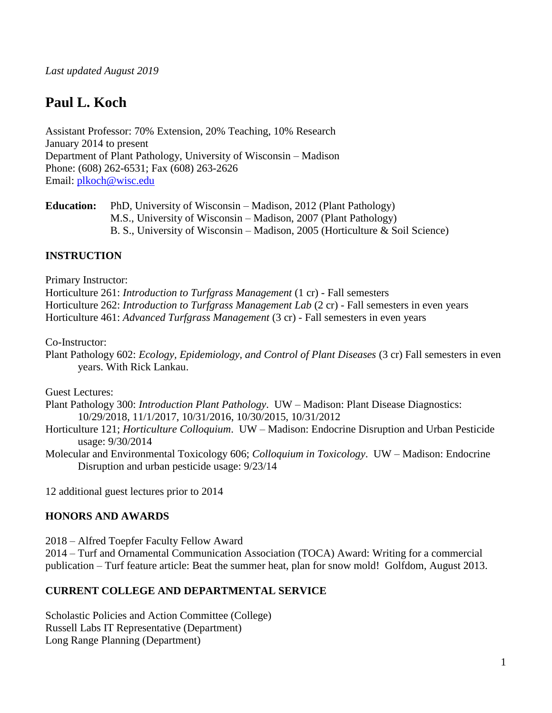# **Paul L. Koch**

Assistant Professor: 70% Extension, 20% Teaching, 10% Research January 2014 to present Department of Plant Pathology, University of Wisconsin – Madison Phone: (608) 262-6531; Fax (608) 263-2626 Email: [plkoch@wisc.edu](mailto:plkoch@wisc.edu)

**Education:** PhD, University of Wisconsin – Madison, 2012 (Plant Pathology) M.S., University of Wisconsin – Madison, 2007 (Plant Pathology) B. S., University of Wisconsin – Madison, 2005 (Horticulture & Soil Science)

### **INSTRUCTION**

Primary Instructor:

Horticulture 261: *Introduction to Turfgrass Management* (1 cr) - Fall semesters Horticulture 262: *Introduction to Turfgrass Management Lab* (2 cr) - Fall semesters in even years Horticulture 461: *Advanced Turfgrass Management* (3 cr) - Fall semesters in even years

Co-Instructor:

Plant Pathology 602: *Ecology, Epidemiology, and Control of Plant Diseases* (3 cr) Fall semesters in even years. With Rick Lankau.

Guest Lectures:

- Plant Pathology 300: *Introduction Plant Pathology*. UW Madison: Plant Disease Diagnostics: 10/29/2018, 11/1/2017, 10/31/2016, 10/30/2015, 10/31/2012
- Horticulture 121; *Horticulture Colloquium*. UW Madison: Endocrine Disruption and Urban Pesticide usage: 9/30/2014
- Molecular and Environmental Toxicology 606; *Colloquium in Toxicology*. UW Madison: Endocrine Disruption and urban pesticide usage: 9/23/14

12 additional guest lectures prior to 2014

#### **HONORS AND AWARDS**

2018 – Alfred Toepfer Faculty Fellow Award

2014 – Turf and Ornamental Communication Association (TOCA) Award: Writing for a commercial publication – Turf feature article: Beat the summer heat, plan for snow mold! Golfdom, August 2013.

#### **CURRENT COLLEGE AND DEPARTMENTAL SERVICE**

Scholastic Policies and Action Committee (College) Russell Labs IT Representative (Department) Long Range Planning (Department)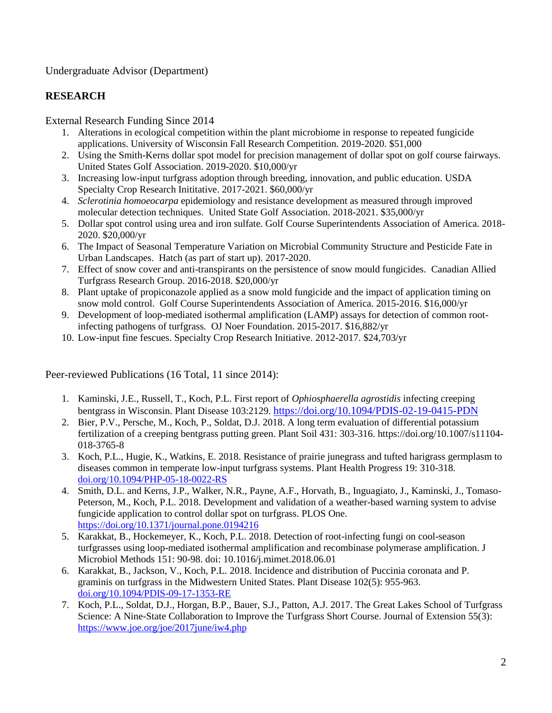Undergraduate Advisor (Department)

## **RESEARCH**

External Research Funding Since 2014

- 1. Alterations in ecological competition within the plant microbiome in response to repeated fungicide applications. University of Wisconsin Fall Research Competition. 2019-2020. \$51,000
- 2. Using the Smith-Kerns dollar spot model for precision management of dollar spot on golf course fairways. United States Golf Association. 2019-2020. \$10,000/yr
- 3. Increasing low-input turfgrass adoption through breeding, innovation, and public education. USDA Specialty Crop Research Inititative. 2017-2021. \$60,000/yr
- 4. *Sclerotinia homoeocarpa* epidemiology and resistance development as measured through improved molecular detection techniques. United State Golf Association. 2018-2021. \$35,000/yr
- 5. Dollar spot control using urea and iron sulfate. Golf Course Superintendents Association of America. 2018- 2020. \$20,000/yr
- 6. The Impact of Seasonal Temperature Variation on Microbial Community Structure and Pesticide Fate in Urban Landscapes. Hatch (as part of start up). 2017-2020.
- 7. Effect of snow cover and anti-transpirants on the persistence of snow mould fungicides. Canadian Allied Turfgrass Research Group. 2016-2018. \$20,000/yr
- 8. Plant uptake of propiconazole applied as a snow mold fungicide and the impact of application timing on snow mold control. Golf Course Superintendents Association of America. 2015-2016. \$16,000/yr
- 9. Development of loop-mediated isothermal amplification (LAMP) assays for detection of common rootinfecting pathogens of turfgrass. OJ Noer Foundation. 2015-2017. \$16,882/yr
- 10. Low-input fine fescues. Specialty Crop Research Initiative. 2012-2017. \$24,703/yr

Peer-reviewed Publications (16 Total, 11 since 2014):

- 1. Kaminski, J.E., Russell, T., Koch, P.L. First report of *Ophiosphaerella agrostidis* infecting creeping bentgrass in Wisconsin. Plant Disease 103:2129. <https://doi.org/10.1094/PDIS-02-19-0415-PDN>
- 2. Bier, P.V., Persche, M., Koch, P., Soldat, D.J. 2018. A long term evaluation of differential potassium fertilization of a creeping bentgrass putting green. Plant Soil 431: 303-316. https://doi.org/10.1007/s11104- 018-3765-8
- 3. Koch, P.L., Hugie, K., Watkins, E. 2018. Resistance of prairie junegrass and tufted harigrass germplasm to diseases common in temperate low-input turfgrass systems. Plant Health Progress 19: 310-318. [doi.org/10.1094/PHP-05-18-0022-RS](https://doi.org/10.1094/PHP-05-18-0022-RS)
- 4. Smith, D.L. and Kerns, J.P., Walker, N.R., Payne, A.F., Horvath, B., Inguagiato, J., Kaminski, J., Tomaso-Peterson, M., Koch, P.L. 2018. Development and validation of a weather-based warning system to advise fungicide application to control dollar spot on turfgrass. PLOS One. <https://doi.org/10.1371/journal.pone.0194216>
- 5. Karakkat, B., Hockemeyer, K., Koch, P.L. 2018. Detection of root-infecting fungi on cool-season turfgrasses using loop-mediated isothermal amplification and recombinase polymerase amplification. J Microbiol Methods 151: 90-98. doi: 10.1016/j.mimet.2018.06.01
- 6. Karakkat, B., Jackson, V., Koch, P.L. 2018. Incidence and distribution of Puccinia coronata and P. graminis on turfgrass in the Midwestern United States. Plant Disease 102(5): 955-963. [doi.org/10.1094/PDIS-09-17-1353-RE](https://doi.org/10.1094/PDIS-09-17-1353-RE)
- 7. Koch, P.L., Soldat, D.J., Horgan, B.P., Bauer, S.J., Patton, A.J. 2017. The Great Lakes School of Turfgrass Science: A Nine-State Collaboration to Improve the Turfgrass Short Course. Journal of Extension 55(3): <https://www.joe.org/joe/2017june/iw4.php>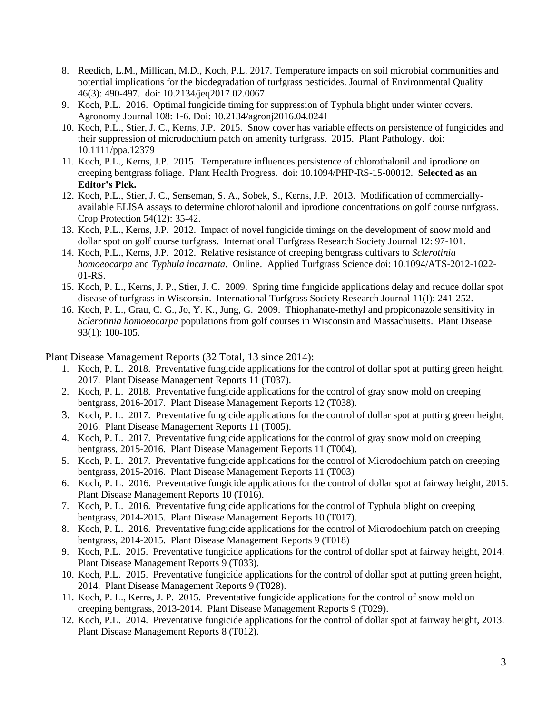- 8. Reedich, L.M., Millican, M.D., Koch, P.L. 2017. Temperature impacts on soil microbial communities and potential implications for the biodegradation of turfgrass pesticides. Journal of Environmental Quality 46(3): 490-497. doi: 10.2134/jeq2017.02.0067.
- 9. Koch, P.L. 2016. Optimal fungicide timing for suppression of Typhula blight under winter covers. Agronomy Journal 108: 1-6. Doi: 10.2134/agronj2016.04.0241
- 10. Koch, P.L., Stier, J. C., Kerns, J.P. 2015. Snow cover has variable effects on persistence of fungicides and their suppression of microdochium patch on amenity turfgrass. 2015. Plant Pathology. doi: 10.1111/ppa.12379
- 11. Koch, P.L., Kerns, J.P. 2015. Temperature influences persistence of chlorothalonil and iprodione on creeping bentgrass foliage. Plant Health Progress. doi: 10.1094/PHP-RS-15-00012. **Selected as an Editor's Pick.**
- 12. Koch, P.L., Stier, J. C., Senseman, S. A., Sobek, S., Kerns, J.P. 2013. Modification of commerciallyavailable ELISA assays to determine chlorothalonil and iprodione concentrations on golf course turfgrass. Crop Protection 54(12): 35-42.
- 13. Koch, P.L., Kerns, J.P. 2012. Impact of novel fungicide timings on the development of snow mold and dollar spot on golf course turfgrass. International Turfgrass Research Society Journal 12: 97-101.
- 14. Koch, P.L., Kerns, J.P. 2012. Relative resistance of creeping bentgrass cultivars to *Sclerotinia homoeocarpa* and *Typhula incarnata.* Online. Applied Turfgrass Science doi: 10.1094/ATS-2012-1022- 01-RS.
- 15. Koch, P. L., Kerns, J. P., Stier, J. C. 2009. Spring time fungicide applications delay and reduce dollar spot disease of turfgrass in Wisconsin. International Turfgrass Society Research Journal 11(I): 241-252.
- 16. Koch, P. L., Grau, C. G., Jo, Y. K., Jung, G. 2009. Thiophanate-methyl and propiconazole sensitivity in *Sclerotinia homoeocarpa* populations from golf courses in Wisconsin and Massachusetts. Plant Disease 93(1): 100-105.

Plant Disease Management Reports (32 Total, 13 since 2014):

- 1. Koch, P. L. 2018. Preventative fungicide applications for the control of dollar spot at putting green height, 2017. Plant Disease Management Reports 11 (T037).
- 2. Koch, P. L. 2018. Preventative fungicide applications for the control of gray snow mold on creeping bentgrass, 2016-2017. Plant Disease Management Reports 12 (T038).
- 3. Koch, P. L. 2017. Preventative fungicide applications for the control of dollar spot at putting green height, 2016. Plant Disease Management Reports 11 (T005).
- 4. Koch, P. L. 2017. Preventative fungicide applications for the control of gray snow mold on creeping bentgrass, 2015-2016. Plant Disease Management Reports 11 (T004).
- 5. Koch, P. L. 2017. Preventative fungicide applications for the control of Microdochium patch on creeping bentgrass, 2015-2016. Plant Disease Management Reports 11 (T003)
- 6. Koch, P. L. 2016. Preventative fungicide applications for the control of dollar spot at fairway height, 2015. Plant Disease Management Reports 10 (T016).
- 7. Koch, P. L. 2016. Preventative fungicide applications for the control of Typhula blight on creeping bentgrass, 2014-2015. Plant Disease Management Reports 10 (T017).
- 8. Koch, P. L. 2016. Preventative fungicide applications for the control of Microdochium patch on creeping bentgrass, 2014-2015. Plant Disease Management Reports 9 (T018)
- 9. Koch, P.L. 2015. Preventative fungicide applications for the control of dollar spot at fairway height, 2014. Plant Disease Management Reports 9 (T033).
- 10. Koch, P.L. 2015. Preventative fungicide applications for the control of dollar spot at putting green height, 2014. Plant Disease Management Reports 9 (T028).
- 11. Koch, P. L., Kerns, J. P. 2015. Preventative fungicide applications for the control of snow mold on creeping bentgrass, 2013-2014. Plant Disease Management Reports 9 (T029).
- 12. Koch, P.L. 2014. Preventative fungicide applications for the control of dollar spot at fairway height, 2013. Plant Disease Management Reports 8 (T012).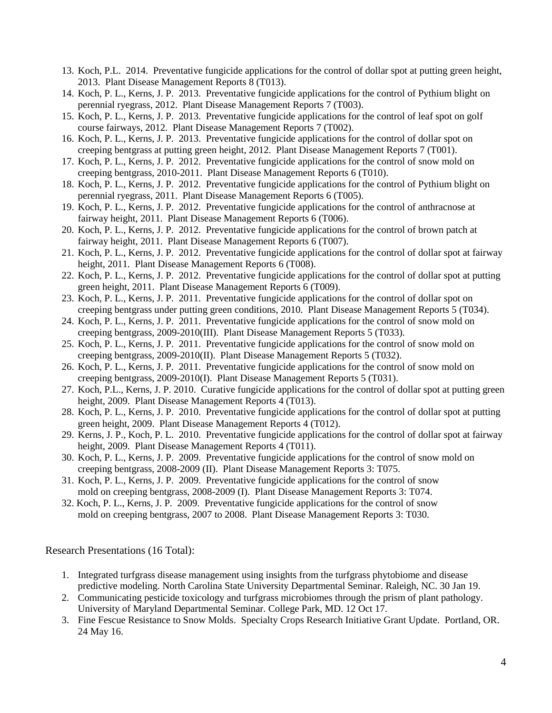- 13. Koch, P.L. 2014. Preventative fungicide applications for the control of dollar spot at putting green height, 2013. Plant Disease Management Reports 8 (T013).
- 14. Koch, P. L., Kerns, J. P. 2013. Preventative fungicide applications for the control of Pythium blight on perennial ryegrass, 2012. Plant Disease Management Reports 7 (T003).
- 15. Koch, P. L., Kerns, J. P. 2013. Preventative fungicide applications for the control of leaf spot on golf course fairways, 2012. Plant Disease Management Reports 7 (T002).
- 16. Koch, P. L., Kerns, J. P. 2013. Preventative fungicide applications for the control of dollar spot on creeping bentgrass at putting green height, 2012. Plant Disease Management Reports 7 (T001).
- 17. Koch, P. L., Kerns, J. P. 2012. Preventative fungicide applications for the control of snow mold on creeping bentgrass, 2010-2011. Plant Disease Management Reports 6 (T010).
- 18. Koch, P. L., Kerns, J. P. 2012. Preventative fungicide applications for the control of Pythium blight on perennial ryegrass, 2011. Plant Disease Management Reports 6 (T005).
- 19. Koch, P. L., Kerns, J. P. 2012. Preventative fungicide applications for the control of anthracnose at fairway height, 2011. Plant Disease Management Reports 6 (T006).
- 20. Koch, P. L., Kerns, J. P. 2012. Preventative fungicide applications for the control of brown patch at fairway height, 2011. Plant Disease Management Reports 6 (T007).
- 21. Koch, P. L., Kerns, J. P. 2012. Preventative fungicide applications for the control of dollar spot at fairway height, 2011. Plant Disease Management Reports 6 (T008).
- 22. Koch, P. L., Kerns, J. P. 2012. Preventative fungicide applications for the control of dollar spot at putting green height, 2011. Plant Disease Management Reports 6 (T009).
- 23. Koch, P. L., Kerns, J. P. 2011. Preventative fungicide applications for the control of dollar spot on creeping bentgrass under putting green conditions, 2010. Plant Disease Management Reports 5 (T034).
- 24. Koch, P. L., Kerns, J. P. 2011. Preventative fungicide applications for the control of snow mold on creeping bentgrass, 2009-2010(III). Plant Disease Management Reports 5 (T033).
- 25. Koch, P. L., Kerns, J. P. 2011. Preventative fungicide applications for the control of snow mold on creeping bentgrass, 2009-2010(II). Plant Disease Management Reports 5 (T032).
- 26. Koch, P. L., Kerns, J. P. 2011. Preventative fungicide applications for the control of snow mold on creeping bentgrass, 2009-2010(I). Plant Disease Management Reports 5 (T031).
- 27. Koch, P.L., Kerns, J. P. 2010. Curative fungicide applications for the control of dollar spot at putting green height, 2009. Plant Disease Management Reports 4 (T013).
- 28. Koch, P. L., Kerns, J. P. 2010. Preventative fungicide applications for the control of dollar spot at putting green height, 2009. Plant Disease Management Reports 4 (T012).
- 29. Kerns, J. P., Koch, P. L. 2010. Preventative fungicide applications for the control of dollar spot at fairway height, 2009. Plant Disease Management Reports 4 (T011).
- 30. Koch, P. L., Kerns, J. P. 2009. Preventative fungicide applications for the control of snow mold on creeping bentgrass, 2008-2009 (II). Plant Disease Management Reports 3: T075.
- 31. Koch, P. L., Kerns, J. P. 2009. Preventative fungicide applications for the control of snow mold on creeping bentgrass, 2008-2009 (I). Plant Disease Management Reports 3: T074.
- 32. Koch, P. L., Kerns, J. P. 2009. Preventative fungicide applications for the control of snow mold on creeping bentgrass, 2007 to 2008. Plant Disease Management Reports 3: T030.

Research Presentations (16 Total):

- 1. Integrated turfgrass disease management using insights from the turfgrass phytobiome and disease predictive modeling. North Carolina State University Departmental Seminar. Raleigh, NC. 30 Jan 19.
- 2. Communicating pesticide toxicology and turfgrass microbiomes through the prism of plant pathology. University of Maryland Departmental Seminar. College Park, MD. 12 Oct 17.
- 3. Fine Fescue Resistance to Snow Molds. Specialty Crops Research Initiative Grant Update. Portland, OR. 24 May 16.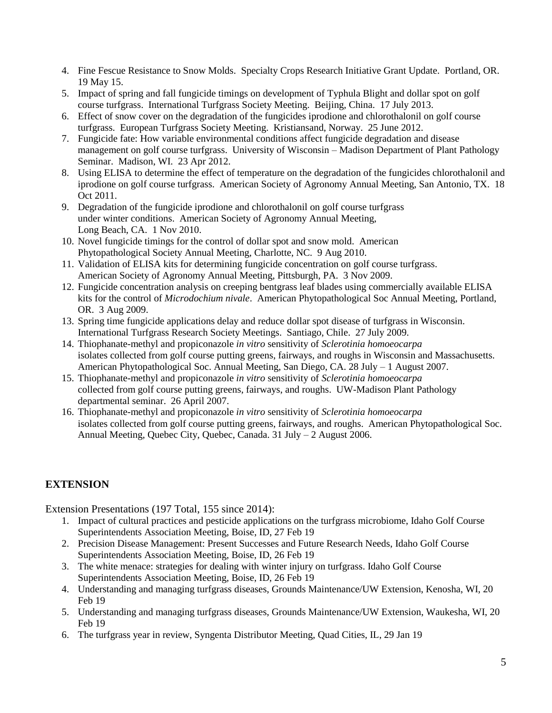- 4. Fine Fescue Resistance to Snow Molds. Specialty Crops Research Initiative Grant Update. Portland, OR. 19 May 15.
- 5. Impact of spring and fall fungicide timings on development of Typhula Blight and dollar spot on golf course turfgrass. International Turfgrass Society Meeting. Beijing, China. 17 July 2013.
- 6. Effect of snow cover on the degradation of the fungicides iprodione and chlorothalonil on golf course turfgrass. European Turfgrass Society Meeting. Kristiansand, Norway. 25 June 2012.
- 7. Fungicide fate: How variable environmental conditions affect fungicide degradation and disease management on golf course turfgrass. University of Wisconsin – Madison Department of Plant Pathology Seminar. Madison, WI. 23 Apr 2012.
- 8. Using ELISA to determine the effect of temperature on the degradation of the fungicides chlorothalonil and iprodione on golf course turfgrass. American Society of Agronomy Annual Meeting, San Antonio, TX. 18 Oct 2011.
- 9. Degradation of the fungicide iprodione and chlorothalonil on golf course turfgrass under winter conditions. American Society of Agronomy Annual Meeting, Long Beach, CA. 1 Nov 2010.
- 10. Novel fungicide timings for the control of dollar spot and snow mold. American Phytopathological Society Annual Meeting, Charlotte, NC. 9 Aug 2010.
- 11. Validation of ELISA kits for determining fungicide concentration on golf course turfgrass. American Society of Agronomy Annual Meeting, Pittsburgh, PA. 3 Nov 2009.
- 12. Fungicide concentration analysis on creeping bentgrass leaf blades using commercially available ELISA kits for the control of *Microdochium nivale*. American Phytopathological Soc Annual Meeting, Portland, OR. 3 Aug 2009.
- 13. Spring time fungicide applications delay and reduce dollar spot disease of turfgrass in Wisconsin. International Turfgrass Research Society Meetings. Santiago, Chile. 27 July 2009.
- 14. Thiophanate-methyl and propiconazole *in vitro* sensitivity of *Sclerotinia homoeocarpa* isolates collected from golf course putting greens, fairways, and roughs in Wisconsin and Massachusetts. American Phytopathological Soc. Annual Meeting, San Diego, CA. 28 July – 1 August 2007.
- 15. Thiophanate-methyl and propiconazole *in vitro* sensitivity of *Sclerotinia homoeocarpa* collected from golf course putting greens, fairways, and roughs. UW-Madison Plant Pathology departmental seminar. 26 April 2007.
- 16. Thiophanate-methyl and propiconazole *in vitro* sensitivity of *Sclerotinia homoeocarpa* isolates collected from golf course putting greens, fairways, and roughs. American Phytopathological Soc. Annual Meeting, Quebec City, Quebec, Canada. 31 July – 2 August 2006.

## **EXTENSION**

Extension Presentations (197 Total, 155 since 2014):

- 1. Impact of cultural practices and pesticide applications on the turfgrass microbiome, Idaho Golf Course Superintendents Association Meeting, Boise, ID, 27 Feb 19
- 2. Precision Disease Management: Present Successes and Future Research Needs, Idaho Golf Course Superintendents Association Meeting, Boise, ID, 26 Feb 19
- 3. The white menace: strategies for dealing with winter injury on turfgrass. Idaho Golf Course Superintendents Association Meeting, Boise, ID, 26 Feb 19
- 4. Understanding and managing turfgrass diseases, Grounds Maintenance/UW Extension, Kenosha, WI, 20 Feb 19
- 5. Understanding and managing turfgrass diseases, Grounds Maintenance/UW Extension, Waukesha, WI, 20 Feb 19
- 6. The turfgrass year in review, Syngenta Distributor Meeting, Quad Cities, IL, 29 Jan 19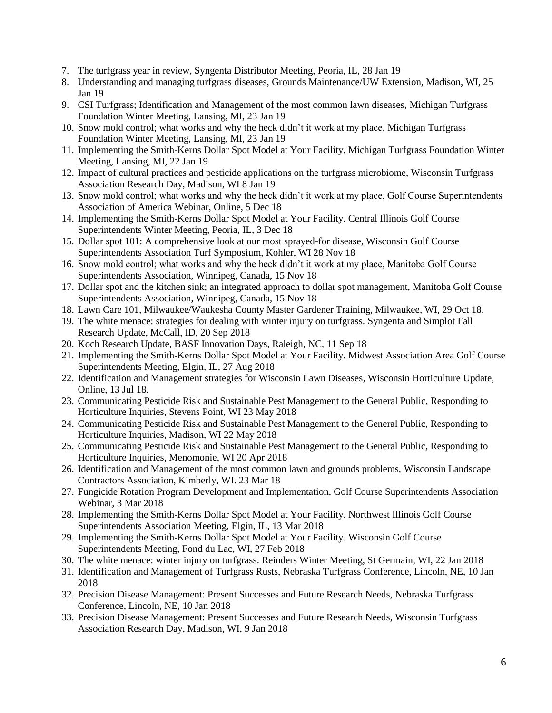- 7. The turfgrass year in review, Syngenta Distributor Meeting, Peoria, IL, 28 Jan 19
- 8. Understanding and managing turfgrass diseases, Grounds Maintenance/UW Extension, Madison, WI, 25 Jan 19
- 9. CSI Turfgrass; Identification and Management of the most common lawn diseases, Michigan Turfgrass Foundation Winter Meeting, Lansing, MI, 23 Jan 19
- 10. Snow mold control; what works and why the heck didn't it work at my place, Michigan Turfgrass Foundation Winter Meeting, Lansing, MI, 23 Jan 19
- 11. Implementing the Smith-Kerns Dollar Spot Model at Your Facility, Michigan Turfgrass Foundation Winter Meeting, Lansing, MI, 22 Jan 19
- 12. Impact of cultural practices and pesticide applications on the turfgrass microbiome, Wisconsin Turfgrass Association Research Day, Madison, WI 8 Jan 19
- 13. Snow mold control; what works and why the heck didn't it work at my place, Golf Course Superintendents Association of America Webinar, Online, 5 Dec 18
- 14. Implementing the Smith-Kerns Dollar Spot Model at Your Facility. Central Illinois Golf Course Superintendents Winter Meeting, Peoria, IL, 3 Dec 18
- 15. Dollar spot 101: A comprehensive look at our most sprayed-for disease, Wisconsin Golf Course Superintendents Association Turf Symposium, Kohler, WI 28 Nov 18
- 16. Snow mold control; what works and why the heck didn't it work at my place, Manitoba Golf Course Superintendents Association, Winnipeg, Canada, 15 Nov 18
- 17. Dollar spot and the kitchen sink; an integrated approach to dollar spot management, Manitoba Golf Course Superintendents Association, Winnipeg, Canada, 15 Nov 18
- 18. Lawn Care 101, Milwaukee/Waukesha County Master Gardener Training, Milwaukee, WI, 29 Oct 18.
- 19. The white menace: strategies for dealing with winter injury on turfgrass. Syngenta and Simplot Fall Research Update, McCall, ID, 20 Sep 2018
- 20. Koch Research Update, BASF Innovation Days, Raleigh, NC, 11 Sep 18
- 21. Implementing the Smith-Kerns Dollar Spot Model at Your Facility. Midwest Association Area Golf Course Superintendents Meeting, Elgin, IL, 27 Aug 2018
- 22. Identification and Management strategies for Wisconsin Lawn Diseases, Wisconsin Horticulture Update, Online, 13 Jul 18.
- 23. Communicating Pesticide Risk and Sustainable Pest Management to the General Public, Responding to Horticulture Inquiries, Stevens Point, WI 23 May 2018
- 24. Communicating Pesticide Risk and Sustainable Pest Management to the General Public, Responding to Horticulture Inquiries, Madison, WI 22 May 2018
- 25. Communicating Pesticide Risk and Sustainable Pest Management to the General Public, Responding to Horticulture Inquiries, Menomonie, WI 20 Apr 2018
- 26. Identification and Management of the most common lawn and grounds problems, Wisconsin Landscape Contractors Association, Kimberly, WI. 23 Mar 18
- 27. Fungicide Rotation Program Development and Implementation, Golf Course Superintendents Association Webinar, 3 Mar 2018
- 28. Implementing the Smith-Kerns Dollar Spot Model at Your Facility. Northwest Illinois Golf Course Superintendents Association Meeting, Elgin, IL, 13 Mar 2018
- 29. Implementing the Smith-Kerns Dollar Spot Model at Your Facility. Wisconsin Golf Course Superintendents Meeting, Fond du Lac, WI, 27 Feb 2018
- 30. The white menace: winter injury on turfgrass. Reinders Winter Meeting, St Germain, WI, 22 Jan 2018
- 31. Identification and Management of Turfgrass Rusts, Nebraska Turfgrass Conference, Lincoln, NE, 10 Jan 2018
- 32. Precision Disease Management: Present Successes and Future Research Needs, Nebraska Turfgrass Conference, Lincoln, NE, 10 Jan 2018
- 33. Precision Disease Management: Present Successes and Future Research Needs, Wisconsin Turfgrass Association Research Day, Madison, WI, 9 Jan 2018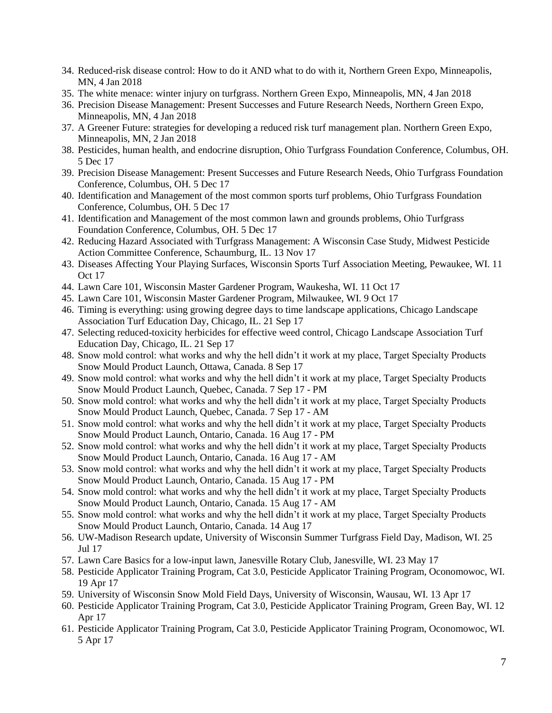- 34. Reduced-risk disease control: How to do it AND what to do with it, Northern Green Expo, Minneapolis, MN, 4 Jan 2018
- 35. The white menace: winter injury on turfgrass. Northern Green Expo, Minneapolis, MN, 4 Jan 2018
- 36. Precision Disease Management: Present Successes and Future Research Needs, Northern Green Expo, Minneapolis, MN, 4 Jan 2018
- 37. A Greener Future: strategies for developing a reduced risk turf management plan. Northern Green Expo, Minneapolis, MN, 2 Jan 2018
- 38. Pesticides, human health, and endocrine disruption, Ohio Turfgrass Foundation Conference, Columbus, OH. 5 Dec 17
- 39. Precision Disease Management: Present Successes and Future Research Needs, Ohio Turfgrass Foundation Conference, Columbus, OH. 5 Dec 17
- 40. Identification and Management of the most common sports turf problems, Ohio Turfgrass Foundation Conference, Columbus, OH. 5 Dec 17
- 41. Identification and Management of the most common lawn and grounds problems, Ohio Turfgrass Foundation Conference, Columbus, OH. 5 Dec 17
- 42. Reducing Hazard Associated with Turfgrass Management: A Wisconsin Case Study, Midwest Pesticide Action Committee Conference, Schaumburg, IL. 13 Nov 17
- 43. Diseases Affecting Your Playing Surfaces, Wisconsin Sports Turf Association Meeting, Pewaukee, WI. 11 Oct 17
- 44. Lawn Care 101, Wisconsin Master Gardener Program, Waukesha, WI. 11 Oct 17
- 45. Lawn Care 101, Wisconsin Master Gardener Program, Milwaukee, WI. 9 Oct 17
- 46. Timing is everything: using growing degree days to time landscape applications, Chicago Landscape Association Turf Education Day, Chicago, IL. 21 Sep 17
- 47. Selecting reduced-toxicity herbicides for effective weed control, Chicago Landscape Association Turf Education Day, Chicago, IL. 21 Sep 17
- 48. Snow mold control: what works and why the hell didn't it work at my place, Target Specialty Products Snow Mould Product Launch, Ottawa, Canada. 8 Sep 17
- 49. Snow mold control: what works and why the hell didn't it work at my place, Target Specialty Products Snow Mould Product Launch, Quebec, Canada. 7 Sep 17 - PM
- 50. Snow mold control: what works and why the hell didn't it work at my place, Target Specialty Products Snow Mould Product Launch, Quebec, Canada. 7 Sep 17 - AM
- 51. Snow mold control: what works and why the hell didn't it work at my place, Target Specialty Products Snow Mould Product Launch, Ontario, Canada. 16 Aug 17 - PM
- 52. Snow mold control: what works and why the hell didn't it work at my place, Target Specialty Products Snow Mould Product Launch, Ontario, Canada. 16 Aug 17 - AM
- 53. Snow mold control: what works and why the hell didn't it work at my place, Target Specialty Products Snow Mould Product Launch, Ontario, Canada. 15 Aug 17 - PM
- 54. Snow mold control: what works and why the hell didn't it work at my place, Target Specialty Products Snow Mould Product Launch, Ontario, Canada. 15 Aug 17 - AM
- 55. Snow mold control: what works and why the hell didn't it work at my place, Target Specialty Products Snow Mould Product Launch, Ontario, Canada. 14 Aug 17
- 56. UW-Madison Research update, University of Wisconsin Summer Turfgrass Field Day, Madison, WI. 25 Jul 17
- 57. Lawn Care Basics for a low-input lawn, Janesville Rotary Club, Janesville, WI. 23 May 17
- 58. Pesticide Applicator Training Program, Cat 3.0, Pesticide Applicator Training Program, Oconomowoc, WI. 19 Apr 17
- 59. University of Wisconsin Snow Mold Field Days, University of Wisconsin, Wausau, WI. 13 Apr 17
- 60. Pesticide Applicator Training Program, Cat 3.0, Pesticide Applicator Training Program, Green Bay, WI. 12 Apr 17
- 61. Pesticide Applicator Training Program, Cat 3.0, Pesticide Applicator Training Program, Oconomowoc, WI. 5 Apr 17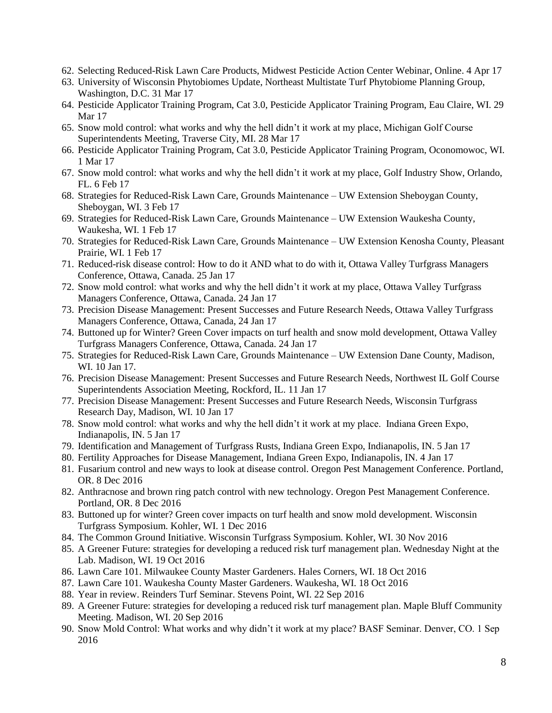- 62. Selecting Reduced-Risk Lawn Care Products, Midwest Pesticide Action Center Webinar, Online. 4 Apr 17
- 63. University of Wisconsin Phytobiomes Update, Northeast Multistate Turf Phytobiome Planning Group, Washington, D.C. 31 Mar 17
- 64. Pesticide Applicator Training Program, Cat 3.0, Pesticide Applicator Training Program, Eau Claire, WI. 29 Mar 17
- 65. Snow mold control: what works and why the hell didn't it work at my place, Michigan Golf Course Superintendents Meeting, Traverse City, MI. 28 Mar 17
- 66. Pesticide Applicator Training Program, Cat 3.0, Pesticide Applicator Training Program, Oconomowoc, WI. 1 Mar 17
- 67. Snow mold control: what works and why the hell didn't it work at my place, Golf Industry Show, Orlando, FL. 6 Feb 17
- 68. Strategies for Reduced-Risk Lawn Care, Grounds Maintenance UW Extension Sheboygan County, Sheboygan, WI. 3 Feb 17
- 69. Strategies for Reduced-Risk Lawn Care, Grounds Maintenance UW Extension Waukesha County, Waukesha, WI. 1 Feb 17
- 70. Strategies for Reduced-Risk Lawn Care, Grounds Maintenance UW Extension Kenosha County, Pleasant Prairie, WI. 1 Feb 17
- 71. Reduced-risk disease control: How to do it AND what to do with it, Ottawa Valley Turfgrass Managers Conference, Ottawa, Canada. 25 Jan 17
- 72. Snow mold control: what works and why the hell didn't it work at my place, Ottawa Valley Turfgrass Managers Conference, Ottawa, Canada. 24 Jan 17
- 73. Precision Disease Management: Present Successes and Future Research Needs, Ottawa Valley Turfgrass Managers Conference, Ottawa, Canada, 24 Jan 17
- 74. Buttoned up for Winter? Green Cover impacts on turf health and snow mold development, Ottawa Valley Turfgrass Managers Conference, Ottawa, Canada. 24 Jan 17
- 75. Strategies for Reduced-Risk Lawn Care, Grounds Maintenance UW Extension Dane County, Madison, WI. 10 Jan 17.
- 76. Precision Disease Management: Present Successes and Future Research Needs, Northwest IL Golf Course Superintendents Association Meeting, Rockford, IL. 11 Jan 17
- 77. Precision Disease Management: Present Successes and Future Research Needs, Wisconsin Turfgrass Research Day, Madison, WI. 10 Jan 17
- 78. Snow mold control: what works and why the hell didn't it work at my place. Indiana Green Expo, Indianapolis, IN. 5 Jan 17
- 79. Identification and Management of Turfgrass Rusts, Indiana Green Expo, Indianapolis, IN. 5 Jan 17
- 80. Fertility Approaches for Disease Management, Indiana Green Expo, Indianapolis, IN. 4 Jan 17
- 81. Fusarium control and new ways to look at disease control. Oregon Pest Management Conference. Portland, OR. 8 Dec 2016
- 82. Anthracnose and brown ring patch control with new technology. Oregon Pest Management Conference. Portland, OR. 8 Dec 2016
- 83. Buttoned up for winter? Green cover impacts on turf health and snow mold development. Wisconsin Turfgrass Symposium. Kohler, WI. 1 Dec 2016
- 84. The Common Ground Initiative. Wisconsin Turfgrass Symposium. Kohler, WI. 30 Nov 2016
- 85. A Greener Future: strategies for developing a reduced risk turf management plan. Wednesday Night at the Lab. Madison, WI. 19 Oct 2016
- 86. Lawn Care 101. Milwaukee County Master Gardeners. Hales Corners, WI. 18 Oct 2016
- 87. Lawn Care 101. Waukesha County Master Gardeners. Waukesha, WI. 18 Oct 2016
- 88. Year in review. Reinders Turf Seminar. Stevens Point, WI. 22 Sep 2016
- 89. A Greener Future: strategies for developing a reduced risk turf management plan. Maple Bluff Community Meeting. Madison, WI. 20 Sep 2016
- 90. Snow Mold Control: What works and why didn't it work at my place? BASF Seminar. Denver, CO. 1 Sep 2016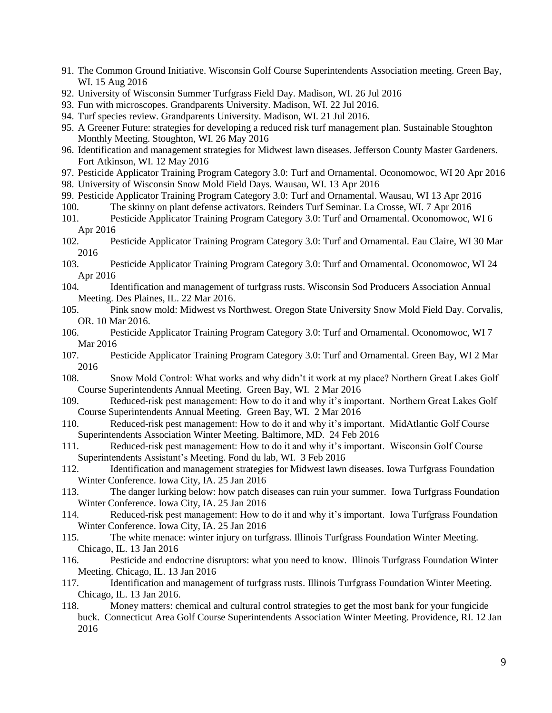- 91. The Common Ground Initiative. Wisconsin Golf Course Superintendents Association meeting. Green Bay, WI. 15 Aug 2016
- 92. University of Wisconsin Summer Turfgrass Field Day. Madison, WI. 26 Jul 2016
- 93. Fun with microscopes. Grandparents University. Madison, WI. 22 Jul 2016.
- 94. Turf species review. Grandparents University. Madison, WI. 21 Jul 2016.
- 95. A Greener Future: strategies for developing a reduced risk turf management plan. Sustainable Stoughton Monthly Meeting. Stoughton, WI. 26 May 2016
- 96. Identification and management strategies for Midwest lawn diseases. Jefferson County Master Gardeners. Fort Atkinson, WI. 12 May 2016
- 97. Pesticide Applicator Training Program Category 3.0: Turf and Ornamental. Oconomowoc, WI 20 Apr 2016
- 98. University of Wisconsin Snow Mold Field Days. Wausau, WI. 13 Apr 2016
- 99. Pesticide Applicator Training Program Category 3.0: Turf and Ornamental. Wausau, WI 13 Apr 2016
- 100. The skinny on plant defense activators. Reinders Turf Seminar. La Crosse, WI. 7 Apr 2016
- 101. Pesticide Applicator Training Program Category 3.0: Turf and Ornamental. Oconomowoc, WI 6 Apr 2016
- 102. Pesticide Applicator Training Program Category 3.0: Turf and Ornamental. Eau Claire, WI 30 Mar 2016
- 103. Pesticide Applicator Training Program Category 3.0: Turf and Ornamental. Oconomowoc, WI 24 Apr 2016
- 104. Identification and management of turfgrass rusts. Wisconsin Sod Producers Association Annual Meeting. Des Plaines, IL. 22 Mar 2016.
- 105. Pink snow mold: Midwest vs Northwest. Oregon State University Snow Mold Field Day. Corvalis, OR. 10 Mar 2016.
- 106. Pesticide Applicator Training Program Category 3.0: Turf and Ornamental. Oconomowoc, WI 7 Mar 2016
- 107. Pesticide Applicator Training Program Category 3.0: Turf and Ornamental. Green Bay, WI 2 Mar 2016
- 108. Snow Mold Control: What works and why didn't it work at my place? Northern Great Lakes Golf Course Superintendents Annual Meeting. Green Bay, WI. 2 Mar 2016
- 109. Reduced-risk pest management: How to do it and why it's important. Northern Great Lakes Golf Course Superintendents Annual Meeting. Green Bay, WI. 2 Mar 2016
- 110. Reduced-risk pest management: How to do it and why it's important. MidAtlantic Golf Course Superintendents Association Winter Meeting. Baltimore, MD. 24 Feb 2016
- 111. Reduced-risk pest management: How to do it and why it's important. Wisconsin Golf Course Superintendents Assistant's Meeting. Fond du lab, WI. 3 Feb 2016
- 112. Identification and management strategies for Midwest lawn diseases. Iowa Turfgrass Foundation Winter Conference. Iowa City, IA. 25 Jan 2016
- 113. The danger lurking below: how patch diseases can ruin your summer. Iowa Turfgrass Foundation Winter Conference. Iowa City, IA. 25 Jan 2016
- 114. Reduced-risk pest management: How to do it and why it's important. Iowa Turfgrass Foundation Winter Conference. Iowa City, IA. 25 Jan 2016
- 115. The white menace: winter injury on turfgrass. Illinois Turfgrass Foundation Winter Meeting. Chicago, IL. 13 Jan 2016
- 116. Pesticide and endocrine disruptors: what you need to know. Illinois Turfgrass Foundation Winter Meeting. Chicago, IL. 13 Jan 2016
- 117. Identification and management of turfgrass rusts. Illinois Turfgrass Foundation Winter Meeting. Chicago, IL. 13 Jan 2016.
- 118. Money matters: chemical and cultural control strategies to get the most bank for your fungicide buck. Connecticut Area Golf Course Superintendents Association Winter Meeting. Providence, RI. 12 Jan 2016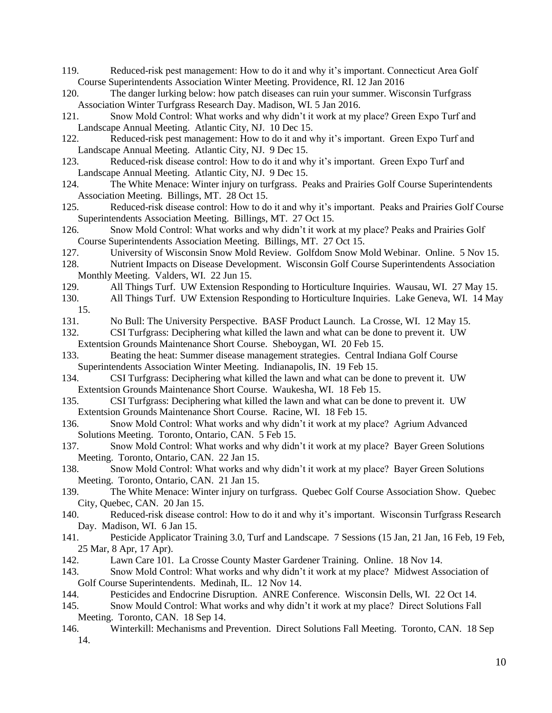- 119. Reduced-risk pest management: How to do it and why it's important. Connecticut Area Golf Course Superintendents Association Winter Meeting. Providence, RI. 12 Jan 2016
- 120. The danger lurking below: how patch diseases can ruin your summer. Wisconsin Turfgrass Association Winter Turfgrass Research Day. Madison, WI. 5 Jan 2016.
- 121. Snow Mold Control: What works and why didn't it work at my place? Green Expo Turf and Landscape Annual Meeting. Atlantic City, NJ. 10 Dec 15.
- 122. Reduced-risk pest management: How to do it and why it's important. Green Expo Turf and Landscape Annual Meeting. Atlantic City, NJ. 9 Dec 15.
- 123. Reduced-risk disease control: How to do it and why it's important. Green Expo Turf and Landscape Annual Meeting. Atlantic City, NJ. 9 Dec 15.
- 124. The White Menace: Winter injury on turfgrass. Peaks and Prairies Golf Course Superintendents Association Meeting. Billings, MT. 28 Oct 15.
- 125. Reduced-risk disease control: How to do it and why it's important. Peaks and Prairies Golf Course Superintendents Association Meeting. Billings, MT. 27 Oct 15.
- 126. Snow Mold Control: What works and why didn't it work at my place? Peaks and Prairies Golf Course Superintendents Association Meeting. Billings, MT. 27 Oct 15.
- 127. University of Wisconsin Snow Mold Review. Golfdom Snow Mold Webinar. Online. 5 Nov 15.
- 128. Nutrient Impacts on Disease Development. Wisconsin Golf Course Superintendents Association Monthly Meeting. Valders, WI. 22 Jun 15.
- 129. All Things Turf. UW Extension Responding to Horticulture Inquiries. Wausau, WI. 27 May 15.
- 130. All Things Turf. UW Extension Responding to Horticulture Inquiries. Lake Geneva, WI. 14 May 15.
- 131. No Bull: The University Perspective. BASF Product Launch. La Crosse, WI. 12 May 15.
- 132. CSI Turfgrass: Deciphering what killed the lawn and what can be done to prevent it. UW Extentsion Grounds Maintenance Short Course. Sheboygan, WI. 20 Feb 15.
- 133. Beating the heat: Summer disease management strategies. Central Indiana Golf Course Superintendents Association Winter Meeting. Indianapolis, IN. 19 Feb 15.
- 134. CSI Turfgrass: Deciphering what killed the lawn and what can be done to prevent it. UW Extentsion Grounds Maintenance Short Course. Waukesha, WI. 18 Feb 15.
- 135. CSI Turfgrass: Deciphering what killed the lawn and what can be done to prevent it. UW Extentsion Grounds Maintenance Short Course. Racine, WI. 18 Feb 15.
- 136. Snow Mold Control: What works and why didn't it work at my place? Agrium Advanced Solutions Meeting. Toronto, Ontario, CAN. 5 Feb 15.
- 137. Snow Mold Control: What works and why didn't it work at my place? Bayer Green Solutions Meeting. Toronto, Ontario, CAN. 22 Jan 15.
- 138. Snow Mold Control: What works and why didn't it work at my place? Bayer Green Solutions Meeting. Toronto, Ontario, CAN. 21 Jan 15.
- 139. The White Menace: Winter injury on turfgrass. Quebec Golf Course Association Show. Quebec City, Quebec, CAN. 20 Jan 15.
- 140. Reduced-risk disease control: How to do it and why it's important. Wisconsin Turfgrass Research Day. Madison, WI. 6 Jan 15.
- 141. Pesticide Applicator Training 3.0, Turf and Landscape. 7 Sessions (15 Jan, 21 Jan, 16 Feb, 19 Feb, 25 Mar, 8 Apr, 17 Apr).
- 142. Lawn Care 101. La Crosse County Master Gardener Training. Online. 18 Nov 14.
- 143. Snow Mold Control: What works and why didn't it work at my place? Midwest Association of Golf Course Superintendents. Medinah, IL. 12 Nov 14.
- 144. Pesticides and Endocrine Disruption. ANRE Conference. Wisconsin Dells, WI. 22 Oct 14.
- 145. Snow Mould Control: What works and why didn't it work at my place? Direct Solutions Fall Meeting. Toronto, CAN. 18 Sep 14.
- 146. Winterkill: Mechanisms and Prevention. Direct Solutions Fall Meeting. Toronto, CAN. 18 Sep 14.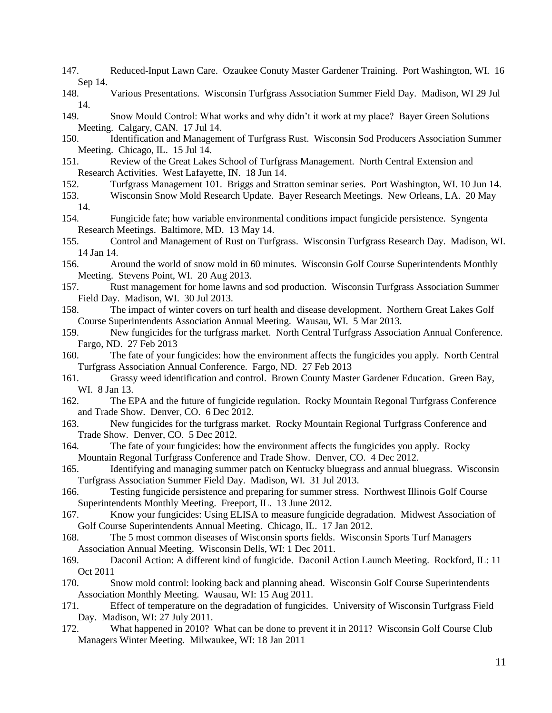- 147. Reduced-Input Lawn Care. Ozaukee Conuty Master Gardener Training. Port Washington, WI. 16 Sep 14.
- 148. Various Presentations. Wisconsin Turfgrass Association Summer Field Day. Madison, WI 29 Jul 14.
- 149. Snow Mould Control: What works and why didn't it work at my place? Bayer Green Solutions Meeting. Calgary, CAN. 17 Jul 14.
- 150. Identification and Management of Turfgrass Rust. Wisconsin Sod Producers Association Summer Meeting. Chicago, IL. 15 Jul 14.
- 151. Review of the Great Lakes School of Turfgrass Management. North Central Extension and Research Activities. West Lafayette, IN. 18 Jun 14.
- 152. Turfgrass Management 101. Briggs and Stratton seminar series. Port Washington, WI. 10 Jun 14.
- 153. Wisconsin Snow Mold Research Update. Bayer Research Meetings. New Orleans, LA. 20 May 14.
- 154. Fungicide fate; how variable environmental conditions impact fungicide persistence. Syngenta Research Meetings. Baltimore, MD. 13 May 14.
- 155. Control and Management of Rust on Turfgrass. Wisconsin Turfgrass Research Day. Madison, WI. 14 Jan 14.
- 156. Around the world of snow mold in 60 minutes. Wisconsin Golf Course Superintendents Monthly Meeting. Stevens Point, WI. 20 Aug 2013.
- 157. Rust management for home lawns and sod production. Wisconsin Turfgrass Association Summer Field Day. Madison, WI. 30 Jul 2013.
- 158. The impact of winter covers on turf health and disease development. Northern Great Lakes Golf Course Superintendents Association Annual Meeting. Wausau, WI. 5 Mar 2013.
- 159. New fungicides for the turfgrass market. North Central Turfgrass Association Annual Conference. Fargo, ND. 27 Feb 2013
- 160. The fate of your fungicides: how the environment affects the fungicides you apply. North Central Turfgrass Association Annual Conference. Fargo, ND. 27 Feb 2013
- 161. Grassy weed identification and control. Brown County Master Gardener Education. Green Bay, WI. 8 Jan 13.
- 162. The EPA and the future of fungicide regulation. Rocky Mountain Regonal Turfgrass Conference and Trade Show. Denver, CO. 6 Dec 2012.
- 163. New fungicides for the turfgrass market. Rocky Mountain Regional Turfgrass Conference and Trade Show. Denver, CO. 5 Dec 2012.
- 164. The fate of your fungicides: how the environment affects the fungicides you apply. Rocky Mountain Regonal Turfgrass Conference and Trade Show. Denver, CO. 4 Dec 2012.
- 165. Identifying and managing summer patch on Kentucky bluegrass and annual bluegrass. Wisconsin Turfgrass Association Summer Field Day. Madison, WI. 31 Jul 2013.
- 166. Testing fungicide persistence and preparing for summer stress. Northwest Illinois Golf Course Superintendents Monthly Meeting. Freeport, IL. 13 June 2012.
- 167. Know your fungicides: Using ELISA to measure fungicide degradation. Midwest Association of Golf Course Superintendents Annual Meeting. Chicago, IL. 17 Jan 2012.
- 168. The 5 most common diseases of Wisconsin sports fields. Wisconsin Sports Turf Managers Association Annual Meeting. Wisconsin Dells, WI: 1 Dec 2011.
- 169. Daconil Action: A different kind of fungicide. Daconil Action Launch Meeting. Rockford, IL: 11 Oct 2011
- 170. Snow mold control: looking back and planning ahead. Wisconsin Golf Course Superintendents Association Monthly Meeting. Wausau, WI: 15 Aug 2011.
- 171. Effect of temperature on the degradation of fungicides. University of Wisconsin Turfgrass Field Day. Madison, WI: 27 July 2011.
- 172. What happened in 2010? What can be done to prevent it in 2011? Wisconsin Golf Course Club Managers Winter Meeting. Milwaukee, WI: 18 Jan 2011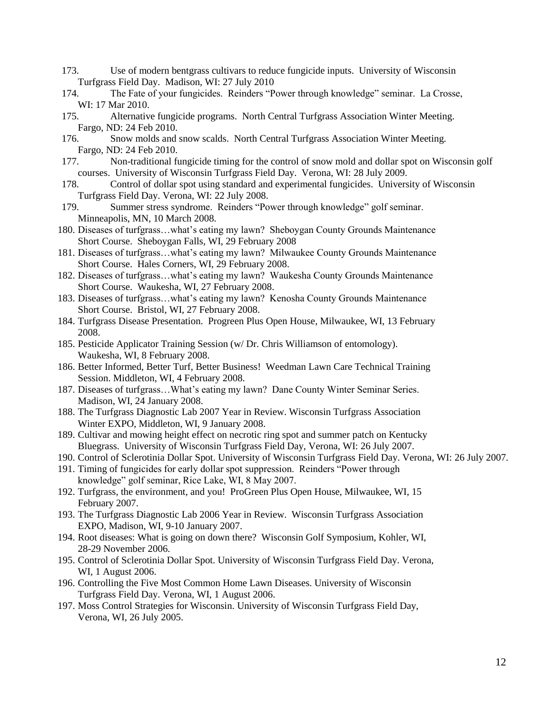- 173. Use of modern bentgrass cultivars to reduce fungicide inputs. University of Wisconsin Turfgrass Field Day. Madison, WI: 27 July 2010
- 174. The Fate of your fungicides. Reinders "Power through knowledge" seminar. La Crosse, WI: 17 Mar 2010.
- 175. Alternative fungicide programs. North Central Turfgrass Association Winter Meeting. Fargo, ND: 24 Feb 2010.
- 176. Snow molds and snow scalds. North Central Turfgrass Association Winter Meeting. Fargo, ND: 24 Feb 2010.
- 177. Non-traditional fungicide timing for the control of snow mold and dollar spot on Wisconsin golf courses. University of Wisconsin Turfgrass Field Day. Verona, WI: 28 July 2009.
- 178. Control of dollar spot using standard and experimental fungicides. University of Wisconsin Turfgrass Field Day. Verona, WI: 22 July 2008.
- 179. Summer stress syndrome. Reinders "Power through knowledge" golf seminar. Minneapolis, MN, 10 March 2008.
- 180. Diseases of turfgrass…what's eating my lawn? Sheboygan County Grounds Maintenance Short Course. Sheboygan Falls, WI, 29 February 2008
- 181. Diseases of turfgrass…what's eating my lawn? Milwaukee County Grounds Maintenance Short Course. Hales Corners, WI, 29 February 2008.
- 182. Diseases of turfgrass…what's eating my lawn? Waukesha County Grounds Maintenance Short Course. Waukesha, WI, 27 February 2008.
- 183. Diseases of turfgrass…what's eating my lawn? Kenosha County Grounds Maintenance Short Course. Bristol, WI, 27 February 2008.
- 184. Turfgrass Disease Presentation. Progreen Plus Open House, Milwaukee, WI, 13 February 2008.
- 185. Pesticide Applicator Training Session (w/ Dr. Chris Williamson of entomology). Waukesha, WI, 8 February 2008.
- 186. Better Informed, Better Turf, Better Business! Weedman Lawn Care Technical Training Session. Middleton, WI, 4 February 2008.
- 187. Diseases of turfgrass…What's eating my lawn? Dane County Winter Seminar Series. Madison, WI, 24 January 2008.
- 188. The Turfgrass Diagnostic Lab 2007 Year in Review. Wisconsin Turfgrass Association Winter EXPO, Middleton, WI, 9 January 2008.
- 189. Cultivar and mowing height effect on necrotic ring spot and summer patch on Kentucky Bluegrass. University of Wisconsin Turfgrass Field Day, Verona, WI: 26 July 2007.
- 190. Control of Sclerotinia Dollar Spot. University of Wisconsin Turfgrass Field Day. Verona, WI: 26 July 2007.
- 191. Timing of fungicides for early dollar spot suppression. Reinders "Power through knowledge" golf seminar, Rice Lake, WI, 8 May 2007.
- 192. Turfgrass, the environment, and you! ProGreen Plus Open House, Milwaukee, WI, 15 February 2007.
- 193. The Turfgrass Diagnostic Lab 2006 Year in Review. Wisconsin Turfgrass Association EXPO, Madison, WI, 9-10 January 2007.
- 194. Root diseases: What is going on down there? Wisconsin Golf Symposium, Kohler, WI, 28-29 November 2006.
- 195. Control of Sclerotinia Dollar Spot. University of Wisconsin Turfgrass Field Day. Verona, WI, 1 August 2006.
- 196. Controlling the Five Most Common Home Lawn Diseases. University of Wisconsin Turfgrass Field Day. Verona, WI, 1 August 2006.
- 197. Moss Control Strategies for Wisconsin. University of Wisconsin Turfgrass Field Day, Verona, WI, 26 July 2005.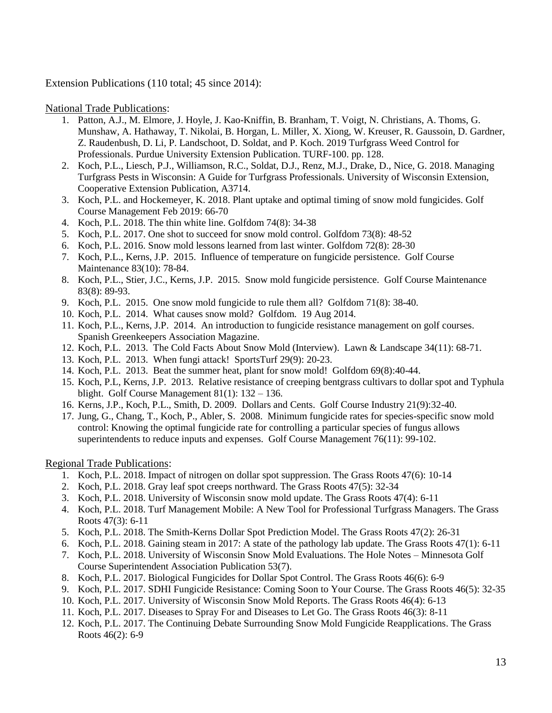Extension Publications (110 total; 45 since 2014):

National Trade Publications:

- 1. Patton, A.J., M. Elmore, J. Hoyle, J. Kao-Kniffin, B. Branham, T. Voigt, N. Christians, A. Thoms, G. Munshaw, A. Hathaway, T. Nikolai, B. Horgan, L. Miller, X. Xiong, W. Kreuser, R. Gaussoin, D. Gardner, Z. Raudenbush, D. Li, P. Landschoot, D. Soldat, and P. Koch. 2019 Turfgrass Weed Control for Professionals. Purdue University Extension Publication. TURF-100. pp. 128.
- 2. Koch, P.L., Liesch, P.J., Williamson, R.C., Soldat, D.J., Renz, M.J., Drake, D., Nice, G. 2018. Managing Turfgrass Pests in Wisconsin: A Guide for Turfgrass Professionals. University of Wisconsin Extension, Cooperative Extension Publication, A3714.
- 3. Koch, P.L. and Hockemeyer, K. 2018. Plant uptake and optimal timing of snow mold fungicides. Golf Course Management Feb 2019: 66-70
- 4. Koch, P.L. 2018. The thin white line. Golfdom 74(8): 34-38
- 5. Koch, P.L. 2017. One shot to succeed for snow mold control. Golfdom 73(8): 48-52
- 6. Koch, P.L. 2016. Snow mold lessons learned from last winter. Golfdom 72(8): 28-30
- 7. Koch, P.L., Kerns, J.P. 2015. Influence of temperature on fungicide persistence. Golf Course Maintenance 83(10): 78-84.
- 8. Koch, P.L., Stier, J.C., Kerns, J.P. 2015. Snow mold fungicide persistence. Golf Course Maintenance 83(8): 89-93.
- 9. Koch, P.L. 2015. One snow mold fungicide to rule them all? Golfdom 71(8): 38-40.
- 10. Koch, P.L. 2014. What causes snow mold? Golfdom. 19 Aug 2014.
- 11. Koch, P.L., Kerns, J.P. 2014. An introduction to fungicide resistance management on golf courses. Spanish Greenkeepers Association Magazine.
- 12. Koch, P.L. 2013. The Cold Facts About Snow Mold (Interview). Lawn & Landscape 34(11): 68-71.
- 13. Koch, P.L. 2013. When fungi attack! SportsTurf 29(9): 20-23.
- 14. Koch, P.L. 2013. Beat the summer heat, plant for snow mold! Golfdom 69(8):40-44.
- 15. Koch, P.L, Kerns, J.P. 2013. Relative resistance of creeping bentgrass cultivars to dollar spot and Typhula blight. Golf Course Management 81(1): 132 – 136.
- 16. Kerns, J.P., Koch, P.L., Smith, D. 2009. Dollars and Cents. Golf Course Industry 21(9):32-40.
- 17. Jung, G., Chang, T., Koch, P., Abler, S. 2008. Minimum fungicide rates for species-specific snow mold control: Knowing the optimal fungicide rate for controlling a particular species of fungus allows superintendents to reduce inputs and expenses. Golf Course Management 76(11): 99-102.

Regional Trade Publications:

- 1. Koch, P.L. 2018. Impact of nitrogen on dollar spot suppression. The Grass Roots 47(6): 10-14
- 2. Koch, P.L. 2018. Gray leaf spot creeps northward. The Grass Roots 47(5): 32-34
- 3. Koch, P.L. 2018. University of Wisconsin snow mold update. The Grass Roots 47(4): 6-11
- 4. Koch, P.L. 2018. Turf Management Mobile: A New Tool for Professional Turfgrass Managers. The Grass Roots 47(3): 6-11
- 5. Koch, P.L. 2018. The Smith-Kerns Dollar Spot Prediction Model. The Grass Roots 47(2): 26-31
- 6. Koch, P.L. 2018. Gaining steam in 2017: A state of the pathology lab update. The Grass Roots 47(1): 6-11
- 7. Koch, P.L. 2018. University of Wisconsin Snow Mold Evaluations. The Hole Notes Minnesota Golf Course Superintendent Association Publication 53(7).
- 8. Koch, P.L. 2017. Biological Fungicides for Dollar Spot Control. The Grass Roots 46(6): 6-9
- 9. Koch, P.L. 2017. SDHI Fungicide Resistance: Coming Soon to Your Course. The Grass Roots 46(5): 32-35
- 10. Koch, P.L. 2017. University of Wisconsin Snow Mold Reports. The Grass Roots 46(4): 6-13
- 11. Koch, P.L. 2017. Diseases to Spray For and Diseases to Let Go. The Grass Roots 46(3): 8-11
- 12. Koch, P.L. 2017. The Continuing Debate Surrounding Snow Mold Fungicide Reapplications. The Grass Roots 46(2): 6-9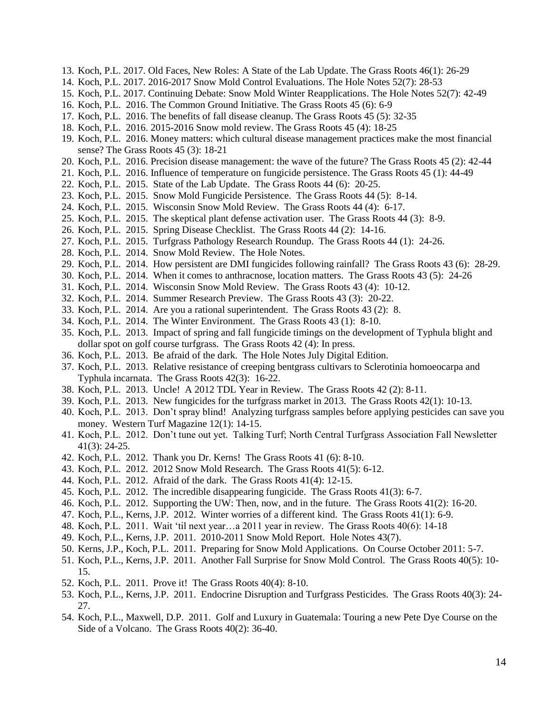- 13. Koch, P.L. 2017. Old Faces, New Roles: A State of the Lab Update. The Grass Roots 46(1): 26-29
- 14. Koch, P.L. 2017. 2016-2017 Snow Mold Control Evaluations. The Hole Notes 52(7): 28-53
- 15. Koch, P.L. 2017. Continuing Debate: Snow Mold Winter Reapplications. The Hole Notes 52(7): 42-49
- 16. Koch, P.L. 2016. The Common Ground Initiative. The Grass Roots 45 (6): 6-9
- 17. Koch, P.L. 2016. The benefits of fall disease cleanup. The Grass Roots 45 (5): 32-35
- 18. Koch, P.L. 2016. 2015-2016 Snow mold review. The Grass Roots 45 (4): 18-25
- 19. Koch, P.L. 2016. Money matters: which cultural disease management practices make the most financial sense? The Grass Roots 45 (3): 18-21
- 20. Koch, P.L. 2016. Precision disease management: the wave of the future? The Grass Roots 45 (2): 42-44
- 21. Koch, P.L. 2016. Influence of temperature on fungicide persistence. The Grass Roots 45 (1): 44-49
- 22. Koch, P.L. 2015. State of the Lab Update. The Grass Roots 44 (6): 20-25.
- 23. Koch, P.L. 2015. Snow Mold Fungicide Persistence. The Grass Roots 44 (5): 8-14.
- 24. Koch, P.L. 2015. Wisconsin Snow Mold Review. The Grass Roots 44 (4): 6-17.
- 25. Koch, P.L. 2015. The skeptical plant defense activation user. The Grass Roots 44 (3): 8-9.
- 26. Koch, P.L. 2015. Spring Disease Checklist. The Grass Roots 44 (2): 14-16.
- 27. Koch, P.L. 2015. Turfgrass Pathology Research Roundup. The Grass Roots 44 (1): 24-26.
- 28. Koch, P.L. 2014. Snow Mold Review. The Hole Notes.
- 29. Koch, P.L. 2014. How persistent are DMI fungicides following rainfall? The Grass Roots 43 (6): 28-29.
- 30. Koch, P.L. 2014. When it comes to anthracnose, location matters. The Grass Roots 43 (5): 24-26
- 31. Koch, P.L. 2014. Wisconsin Snow Mold Review. The Grass Roots 43 (4): 10-12.
- 32. Koch, P.L. 2014. Summer Research Preview. The Grass Roots 43 (3): 20-22.
- 33. Koch, P.L. 2014. Are you a rational superintendent. The Grass Roots 43 (2): 8.
- 34. Koch, P.L. 2014. The Winter Environment. The Grass Roots 43 (1): 8-10.
- 35. Koch, P.L. 2013. Impact of spring and fall fungicide timings on the development of Typhula blight and dollar spot on golf course turfgrass. The Grass Roots 42 (4): In press.
- 36. Koch, P.L. 2013. Be afraid of the dark. The Hole Notes July Digital Edition.
- 37. Koch, P.L. 2013. Relative resistance of creeping bentgrass cultivars to Sclerotinia homoeocarpa and Typhula incarnata. The Grass Roots 42(3): 16-22.
- 38. Koch, P.L. 2013. Uncle! A 2012 TDL Year in Review. The Grass Roots 42 (2): 8-11.
- 39. Koch, P.L. 2013. New fungicides for the turfgrass market in 2013. The Grass Roots 42(1): 10-13.
- 40. Koch, P.L. 2013. Don't spray blind! Analyzing turfgrass samples before applying pesticides can save you money. Western Turf Magazine 12(1): 14-15.
- 41. Koch, P.L. 2012. Don't tune out yet. Talking Turf; North Central Turfgrass Association Fall Newsletter 41(3): 24-25.
- 42. Koch, P.L. 2012. Thank you Dr. Kerns! The Grass Roots 41 (6): 8-10.
- 43. Koch, P.L. 2012. 2012 Snow Mold Research. The Grass Roots 41(5): 6-12.
- 44. Koch, P.L. 2012. Afraid of the dark. The Grass Roots 41(4): 12-15.
- 45. Koch, P.L. 2012. The incredible disappearing fungicide. The Grass Roots 41(3): 6-7.
- 46. Koch, P.L. 2012. Supporting the UW: Then, now, and in the future. The Grass Roots 41(2): 16-20.
- 47. Koch, P.L., Kerns, J.P. 2012. Winter worries of a different kind. The Grass Roots 41(1): 6-9.
- 48. Koch, P.L. 2011. Wait 'til next year…a 2011 year in review. The Grass Roots 40(6): 14-18
- 49. Koch, P.L., Kerns, J.P. 2011. 2010-2011 Snow Mold Report. Hole Notes 43(7).
- 50. Kerns, J.P., Koch, P.L. 2011. Preparing for Snow Mold Applications. On Course October 2011: 5-7.
- 51. Koch, P.L., Kerns, J.P. 2011. Another Fall Surprise for Snow Mold Control. The Grass Roots 40(5): 10- 15.
- 52. Koch, P.L. 2011. Prove it! The Grass Roots 40(4): 8-10.
- 53. Koch, P.L., Kerns, J.P. 2011. Endocrine Disruption and Turfgrass Pesticides. The Grass Roots 40(3): 24- 27.
- 54. Koch, P.L., Maxwell, D.P. 2011. Golf and Luxury in Guatemala: Touring a new Pete Dye Course on the Side of a Volcano. The Grass Roots 40(2): 36-40.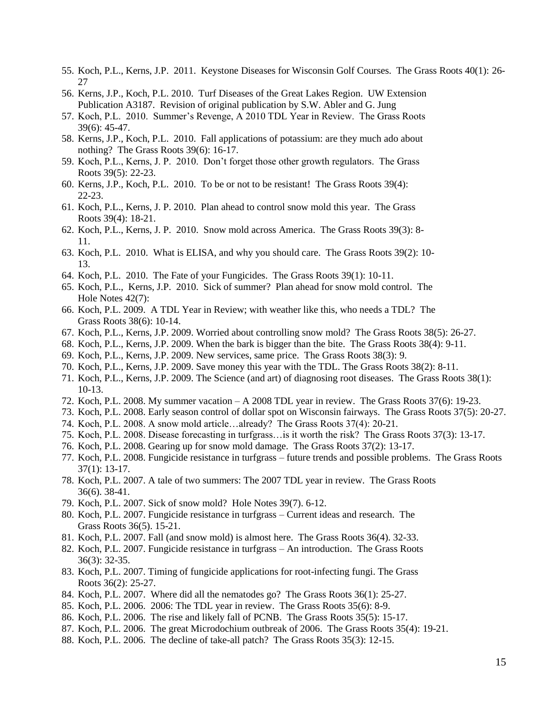- 55. Koch, P.L., Kerns, J.P. 2011. Keystone Diseases for Wisconsin Golf Courses. The Grass Roots 40(1): 26- 27
- 56. Kerns, J.P., Koch, P.L. 2010. Turf Diseases of the Great Lakes Region. UW Extension Publication A3187. Revision of original publication by S.W. Abler and G. Jung
- 57. Koch, P.L. 2010. Summer's Revenge, A 2010 TDL Year in Review. The Grass Roots 39(6): 45-47.
- 58. Kerns, J.P., Koch, P.L. 2010. Fall applications of potassium: are they much ado about nothing? The Grass Roots 39(6): 16-17.
- 59. Koch, P.L., Kerns, J. P. 2010. Don't forget those other growth regulators. The Grass Roots 39(5): 22-23.
- 60. Kerns, J.P., Koch, P.L. 2010. To be or not to be resistant! The Grass Roots 39(4): 22-23.
- 61. Koch, P.L., Kerns, J. P. 2010. Plan ahead to control snow mold this year. The Grass Roots 39(4): 18-21.
- 62. Koch, P.L., Kerns, J. P. 2010. Snow mold across America. The Grass Roots 39(3): 8- 11.
- 63. Koch, P.L. 2010. What is ELISA, and why you should care. The Grass Roots 39(2): 10- 13.
- 64. Koch, P.L. 2010. The Fate of your Fungicides. The Grass Roots 39(1): 10-11.
- 65. Koch, P.L., Kerns, J.P. 2010. Sick of summer? Plan ahead for snow mold control. The Hole Notes 42(7):
- 66. Koch, P.L. 2009. A TDL Year in Review; with weather like this, who needs a TDL? The Grass Roots 38(6): 10-14.
- 67. Koch, P.L., Kerns, J.P. 2009. Worried about controlling snow mold? The Grass Roots 38(5): 26-27.
- 68. Koch, P.L., Kerns, J.P. 2009. When the bark is bigger than the bite. The Grass Roots 38(4): 9-11.
- 69. Koch, P.L., Kerns, J.P. 2009. New services, same price. The Grass Roots 38(3): 9.
- 70. Koch, P.L., Kerns, J.P. 2009. Save money this year with the TDL. The Grass Roots 38(2): 8-11.
- 71. Koch, P.L., Kerns, J.P. 2009. The Science (and art) of diagnosing root diseases. The Grass Roots 38(1): 10-13.
- 72. Koch, P.L. 2008. My summer vacation A 2008 TDL year in review. The Grass Roots 37(6): 19-23.
- 73. Koch, P.L. 2008. Early season control of dollar spot on Wisconsin fairways. The Grass Roots 37(5): 20-27.
- 74. Koch, P.L. 2008. A snow mold article…already? The Grass Roots 37(4): 20-21.
- 75. Koch, P.L. 2008. Disease forecasting in turfgrass…is it worth the risk? The Grass Roots 37(3): 13-17.
- 76. Koch, P.L. 2008. Gearing up for snow mold damage. The Grass Roots 37(2): 13-17.
- 77. Koch, P.L. 2008. Fungicide resistance in turfgrass future trends and possible problems. The Grass Roots 37(1): 13-17.
- 78. Koch, P.L. 2007. A tale of two summers: The 2007 TDL year in review. The Grass Roots 36(6). 38-41.
- 79. Koch, P.L. 2007. Sick of snow mold? Hole Notes 39(7). 6-12.
- 80. Koch, P.L. 2007. Fungicide resistance in turfgrass Current ideas and research. The Grass Roots 36(5). 15-21.
- 81. Koch, P.L. 2007. Fall (and snow mold) is almost here. The Grass Roots 36(4). 32-33.
- 82. Koch, P.L. 2007. Fungicide resistance in turfgrass An introduction. The Grass Roots 36(3): 32-35.
- 83. Koch, P.L. 2007. Timing of fungicide applications for root-infecting fungi. The Grass Roots 36(2): 25-27.
- 84. Koch, P.L. 2007. Where did all the nematodes go? The Grass Roots 36(1): 25-27.
- 85. Koch, P.L. 2006. 2006: The TDL year in review. The Grass Roots 35(6): 8-9.
- 86. Koch, P.L. 2006. The rise and likely fall of PCNB. The Grass Roots 35(5): 15-17.
- 87. Koch, P.L. 2006. The great Microdochium outbreak of 2006. The Grass Roots 35(4): 19-21.
- 88. Koch, P.L. 2006. The decline of take-all patch? The Grass Roots 35(3): 12-15.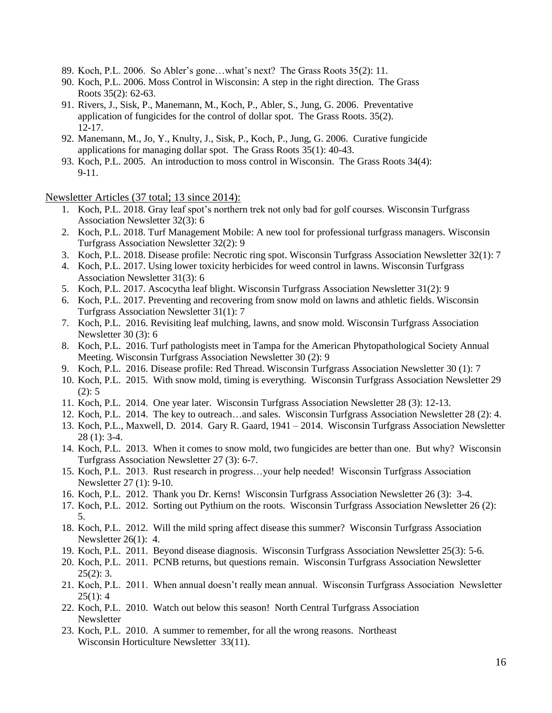- 89. Koch, P.L. 2006. So Abler's gone…what's next? The Grass Roots 35(2): 11.
- 90. Koch, P.L. 2006. Moss Control in Wisconsin: A step in the right direction. The Grass Roots 35(2): 62-63.
- 91. Rivers, J., Sisk, P., Manemann, M., Koch, P., Abler, S., Jung, G. 2006. Preventative application of fungicides for the control of dollar spot. The Grass Roots. 35(2). 12-17.
- 92. Manemann, M., Jo, Y., Knulty, J., Sisk, P., Koch, P., Jung, G. 2006. Curative fungicide applications for managing dollar spot. The Grass Roots 35(1): 40-43.
- 93. Koch, P.L. 2005. An introduction to moss control in Wisconsin. The Grass Roots 34(4): 9-11.

Newsletter Articles (37 total; 13 since 2014):

- 1. Koch, P.L. 2018. Gray leaf spot's northern trek not only bad for golf courses. Wisconsin Turfgrass Association Newsletter 32(3): 6
- 2. Koch, P.L. 2018. Turf Management Mobile: A new tool for professional turfgrass managers. Wisconsin Turfgrass Association Newsletter 32(2): 9
- 3. Koch, P.L. 2018. Disease profile: Necrotic ring spot. Wisconsin Turfgrass Association Newsletter 32(1): 7
- 4. Koch, P.L. 2017. Using lower toxicity herbicides for weed control in lawns. Wisconsin Turfgrass Association Newsletter 31(3): 6
- 5. Koch, P.L. 2017. Ascocytha leaf blight. Wisconsin Turfgrass Association Newsletter 31(2): 9
- 6. Koch, P.L. 2017. Preventing and recovering from snow mold on lawns and athletic fields. Wisconsin Turfgrass Association Newsletter 31(1): 7
- 7. Koch, P.L. 2016. Revisiting leaf mulching, lawns, and snow mold. Wisconsin Turfgrass Association Newsletter 30 (3): 6
- 8. Koch, P.L. 2016. Turf pathologists meet in Tampa for the American Phytopathological Society Annual Meeting. Wisconsin Turfgrass Association Newsletter 30 (2): 9
- 9. Koch, P.L. 2016. Disease profile: Red Thread. Wisconsin Turfgrass Association Newsletter 30 (1): 7
- 10. Koch, P.L. 2015. With snow mold, timing is everything. Wisconsin Turfgrass Association Newsletter 29 (2): 5
- 11. Koch, P.L. 2014. One year later. Wisconsin Turfgrass Association Newsletter 28 (3): 12-13.
- 12. Koch, P.L. 2014. The key to outreach…and sales. Wisconsin Turfgrass Association Newsletter 28 (2): 4.
- 13. Koch, P.L., Maxwell, D. 2014. Gary R. Gaard, 1941 2014. Wisconsin Turfgrass Association Newsletter 28 (1): 3-4.
- 14. Koch, P.L. 2013. When it comes to snow mold, two fungicides are better than one. But why? Wisconsin Turfgrass Association Newsletter 27 (3): 6-7.
- 15. Koch, P.L. 2013. Rust research in progress…your help needed! Wisconsin Turfgrass Association Newsletter 27 (1): 9-10.
- 16. Koch, P.L. 2012. Thank you Dr. Kerns! Wisconsin Turfgrass Association Newsletter 26 (3): 3-4.
- 17. Koch, P.L. 2012. Sorting out Pythium on the roots. Wisconsin Turfgrass Association Newsletter 26 (2): 5.
- 18. Koch, P.L. 2012. Will the mild spring affect disease this summer? Wisconsin Turfgrass Association Newsletter 26(1): 4.
- 19. Koch, P.L. 2011. Beyond disease diagnosis. Wisconsin Turfgrass Association Newsletter 25(3): 5-6.
- 20. Koch, P.L. 2011. PCNB returns, but questions remain. Wisconsin Turfgrass Association Newsletter  $25(2): 3.$
- 21. Koch, P.L. 2011. When annual doesn't really mean annual. Wisconsin Turfgrass Association Newsletter  $25(1): 4$
- 22. Koch, P.L. 2010. Watch out below this season! North Central Turfgrass Association Newsletter
- 23. Koch, P.L. 2010. A summer to remember, for all the wrong reasons. Northeast Wisconsin Horticulture Newsletter 33(11).